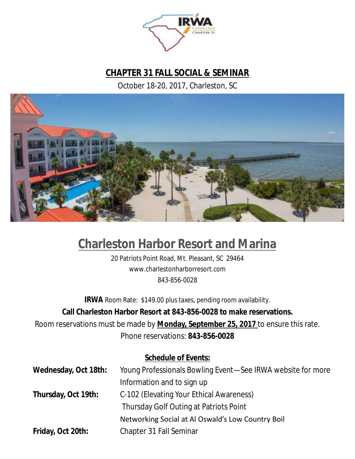

### **CHAPTER 31 FALL SOCIAL & SEMINAR**

October 18-20, 2017, Charleston, SC



### **Charleston Harbor Resort and Marina**

20 Patriots Point Road, Mt. Pleasant, SC 29464 www.charlestonharborresort.com 843-856-0028

**IRWA** Room Rate: \$149.00 plus taxes, pending room availability. **Call Charleston Harbor Resort at 843-856-0028 to make reservations.** Room reservations must be made by **Monday, September 25, 2017** to ensure this rate. Phone reservations: **843-856-0028**

#### **Schedule of Events:**

| Wednesday, Oct 18th: | Young Professionals Bowling Event-See IRWA website for more |
|----------------------|-------------------------------------------------------------|
|                      | Information and to sign up                                  |
| Thursday, Oct 19th:  | C-102 (Elevating Your Ethical Awareness)                    |
|                      | Thursday Golf Outing at Patriots Point                      |
|                      | Networking Social at Al Oswald's Low Country Boil           |
| Friday, Oct 20th:    | Chapter 31 Fall Seminar                                     |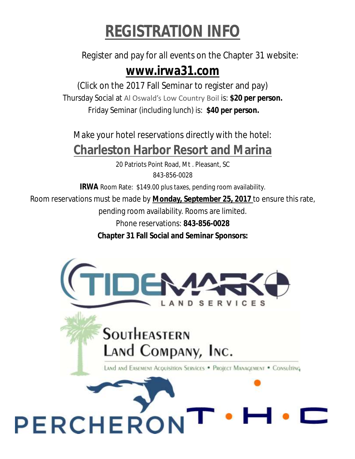## *REGISTRATION INFO*

### Register and pay for all events on the Chapter 31 website: **www.irwa31.com**

(Click on the 2017 Fall Seminar to register and pay) Thursday Social at Al Oswald's Low Country Boil is: **\$20 per person.** Friday Seminar (including lunch) is: **\$40 per person.**

Make your hotel reservations directly with the hotel: **Charleston Harbor Resort and Marina**

> 20 Patriots Point Road, Mt . Pleasant, SC 843-856-0028

**IRWA** Room Rate: \$149.00 plus taxes, pending room availability.

Room reservations must be made by **Monday, September 25, 2017** to ensure this rate,

pending room availability. Rooms are limited.

Phone reservations: **843-856-0028**

**Chapter 31 Fall Social and Seminar Sponsors:**

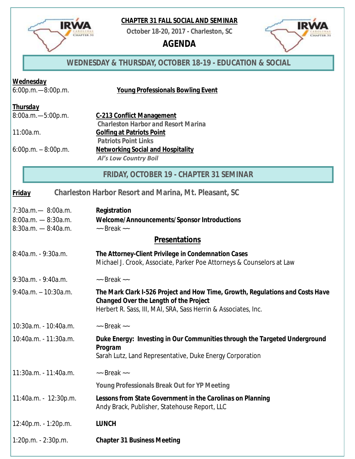

**IRWA** 

**CHAPTER 31** 

**October 18-20, 2017 - Charleston, SC**

*AGENDA*



#### *WEDNESDAY & THURSDAY, OCTOBER 18-19 - EDUCATION & SOCIAL*

| Wednesday<br>$6:00p.m. - 8:00p.m.$                                         | Young Professionals Bowling Event                                                                                                                                                                 |  |
|----------------------------------------------------------------------------|---------------------------------------------------------------------------------------------------------------------------------------------------------------------------------------------------|--|
| <b>Thursday</b><br>8:00a.m.-5:00p.m.<br>11:00a.m.<br>$6:00p.m. - 8:00p.m.$ | C-213 Conflict Management<br>Charleston Harbor and Resort Marina<br>Golfing at Patriots Point<br><b>Patriots Point Links</b><br>Networking Social and Hospitality<br><b>Al's Low Country Boil</b> |  |
|                                                                            | FRIDAY, OCTOBER 19 - CHAPTER 31 SEMINAR                                                                                                                                                           |  |
| <b>Friday</b>                                                              | Charleston Harbor Resort and Marina, Mt. Pleasant, SC                                                                                                                                             |  |
| $7:30a.m. - 8:00a.m.$<br>$8:00a.m. - 8:30a.m.$<br>$8:30a.m. - 8:40a.m.$    | Registration<br>Welcome/Announcements/Sponsor Introductions<br>$\sim$ Break $\sim$                                                                                                                |  |
| <b>Presentations</b>                                                       |                                                                                                                                                                                                   |  |
| 8:40a.m. - 9:30a.m.                                                        | The Attorney-Client Privilege in Condemnation Cases<br>Michael J. Crook, Associate, Parker Poe Attorneys & Counselors at Law                                                                      |  |
| 9:30a.m. - 9:40a.m.                                                        | $\sim$ Break $\sim$                                                                                                                                                                               |  |
| $9:40a.m. - 10:30a.m.$                                                     | The Mark Clark I-526 Project and How Time, Growth, Regulations and Costs Have<br>Changed Over the Length of the Project<br>Herbert R. Sass, III, MAI, SRA, Sass Herrin & Associates, Inc.         |  |
| 10:30a.m. - 10:40a.m.                                                      | $\sim$ Break $\sim$                                                                                                                                                                               |  |
| 10:40a.m. - 11:30a.m.                                                      | Duke Energy: Investing in Our Communities through the Targeted Underground<br>Program<br>Sarah Lutz, Land Representative, Duke Energy Corporation                                                 |  |
| 11:30a.m. - 11:40a.m.                                                      | $\sim$ Break $\sim$                                                                                                                                                                               |  |
|                                                                            | Young Professionals Break Out for YP Meeting                                                                                                                                                      |  |
| 11:40a.m. - 12:30p.m.                                                      | Lessons from State Government in the Carolinas on Planning<br>Andy Brack, Publisher, Statehouse Report, LLC                                                                                       |  |
| 12:40p.m. - 1:20p.m.                                                       | <b>LUNCH</b>                                                                                                                                                                                      |  |
| 1:20p.m. - 2:30p.m.                                                        | <b>Chapter 31 Business Meeting</b>                                                                                                                                                                |  |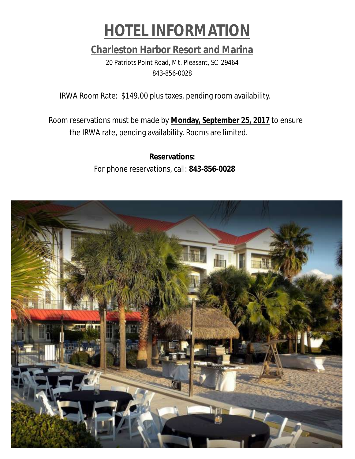

**Charleston Harbor Resort and Marina** 20 Patriots Point Road, Mt. Pleasant, SC 29464 843-856-0028

IRWA Room Rate: \$149.00 plus taxes, pending room availability.

Room reservations must be made by **Monday, September 25, 2017** to ensure the IRWA rate, pending availability. Rooms are limited.

> **Reservations:** For phone reservations, call: **843-856-0028**

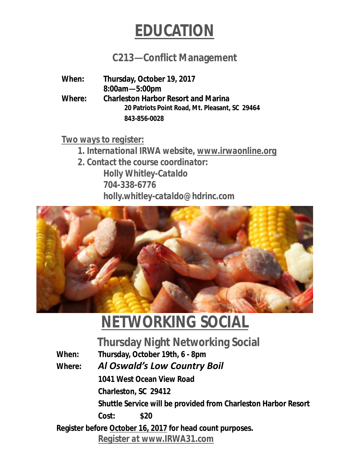

### **C213—Conflict Management**

**When: Thursday, October 19, 2017 8:00am—5:00pm Where: Charleston Harbor Resort and Marina 20 Patriots Point Road, Mt. Pleasant, SC 29464 843-856-0028**

*Two ways to register:*

*1. International IRWA website, www.irwaonline.org*

*2. Contact the course coordinator: Holly Whitley-Cataldo 704-338-6776 holly.whitley-cataldo@hdrinc.com*



## *NETWORKING SOCIAL*

**Thursday Night Networking Social**

**When: Thursday, October 19th, 6 - 8pm Where:** *Al Oswald's Low Country Boil* **1041 West Ocean View Road Charleston, SC 29412 Shuttle Service will be provided from Charleston Harbor Resort Cost: \$20 Register before October 16, 2017 for head count purposes.** *Register at www.IRWA31.com*